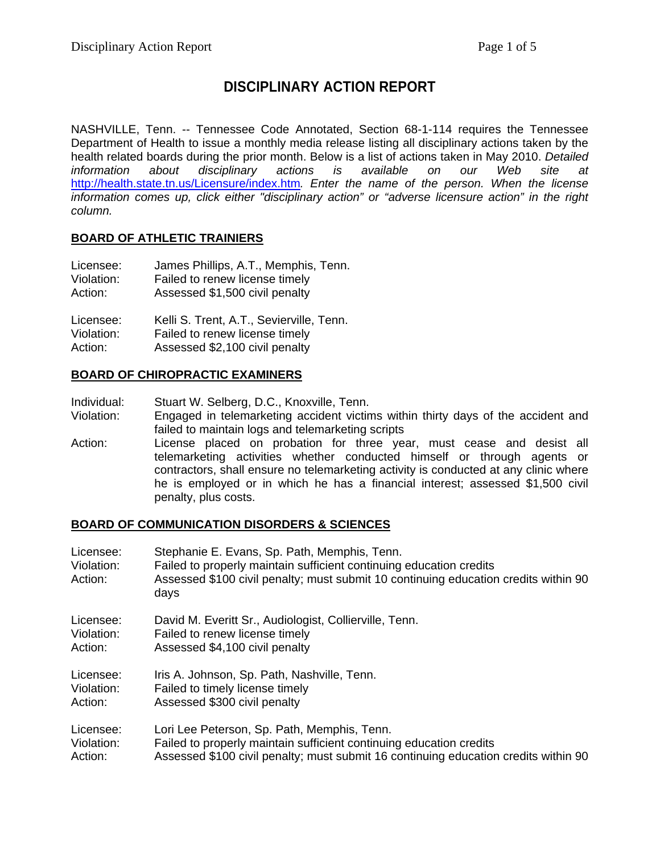# **DISCIPLINARY ACTION REPORT**

NASHVILLE, Tenn. -- Tennessee Code Annotated, Section 68-1-114 requires the Tennessee Department of Health to issue a monthly media release listing all disciplinary actions taken by the health related boards during the prior month. Below is a list of actions taken in May 2010. *Detailed information about disciplinary actions is available on our Web site at*  <http://health.state.tn.us/Licensure/index.htm>*. Enter the name of the person. When the license information comes up, click either "disciplinary action" or "adverse licensure action" in the right column.* 

### **BOARD OF ATHLETIC TRAINIERS**

| Licensee:  | James Phillips, A.T., Memphis, Tenn.     |
|------------|------------------------------------------|
| Violation: | Failed to renew license timely           |
| Action:    | Assessed \$1,500 civil penalty           |
| Licensee:  | Kelli S. Trent, A.T., Sevierville, Tenn. |
| Violation: | Failed to renew license timely           |
| Action:    | Assessed \$2,100 civil penalty           |

#### **BOARD OF CHIROPRACTIC EXAMINERS**

Individual: Stuart W. Selberg, D.C., Knoxville, Tenn.

Violation: Engaged in telemarketing accident victims within thirty days of the accident and failed to maintain logs and telemarketing scripts

Action: License placed on probation for three year, must cease and desist all telemarketing activities whether conducted himself or through agents or contractors, shall ensure no telemarketing activity is conducted at any clinic where he is employed or in which he has a financial interest; assessed \$1,500 civil penalty, plus costs.

### **BOARD OF COMMUNICATION DISORDERS & SCIENCES**

| Licensee:<br>Violation:<br>Action: | Stephanie E. Evans, Sp. Path, Memphis, Tenn.<br>Failed to properly maintain sufficient continuing education credits<br>Assessed \$100 civil penalty; must submit 10 continuing education credits within 90<br>days |
|------------------------------------|--------------------------------------------------------------------------------------------------------------------------------------------------------------------------------------------------------------------|
| Licensee:                          | David M. Everitt Sr., Audiologist, Collierville, Tenn.                                                                                                                                                             |
| Violation:                         | Failed to renew license timely                                                                                                                                                                                     |
| Action:                            | Assessed \$4,100 civil penalty                                                                                                                                                                                     |
| Licensee:                          | Iris A. Johnson, Sp. Path, Nashville, Tenn.                                                                                                                                                                        |
| Violation:                         | Failed to timely license timely                                                                                                                                                                                    |
| Action:                            | Assessed \$300 civil penalty                                                                                                                                                                                       |
| Licensee:                          | Lori Lee Peterson, Sp. Path, Memphis, Tenn.                                                                                                                                                                        |
| Violation:                         | Failed to properly maintain sufficient continuing education credits                                                                                                                                                |
| Action:                            | Assessed \$100 civil penalty; must submit 16 continuing education credits within 90                                                                                                                                |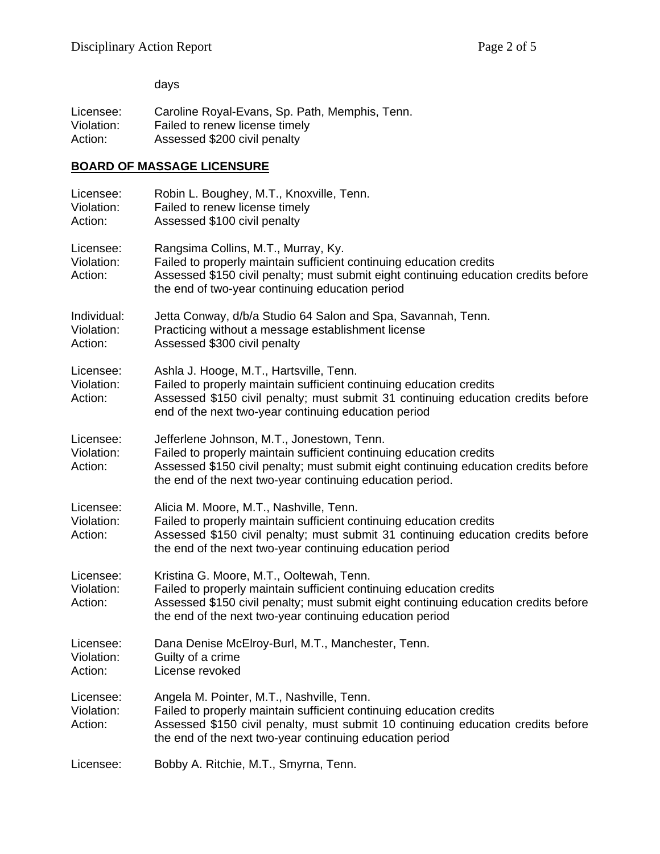days

Licensee: Caroline Royal-Evans, Sp. Path, Memphis, Tenn.<br>Violation: Failed to renew license timely Violation: Failed to renew license timely<br>Action: Assessed \$200 civil penalty Assessed \$200 civil penalty

### **BOARD OF MASSAGE LICENSURE**

| Licensee:<br>Violation:<br>Action:   | Robin L. Boughey, M.T., Knoxville, Tenn.<br>Failed to renew license timely<br>Assessed \$100 civil penalty                                                                                                                                                            |
|--------------------------------------|-----------------------------------------------------------------------------------------------------------------------------------------------------------------------------------------------------------------------------------------------------------------------|
| Licensee:<br>Violation:<br>Action:   | Rangsima Collins, M.T., Murray, Ky.<br>Failed to properly maintain sufficient continuing education credits<br>Assessed \$150 civil penalty; must submit eight continuing education credits before<br>the end of two-year continuing education period                  |
| Individual:<br>Violation:<br>Action: | Jetta Conway, d/b/a Studio 64 Salon and Spa, Savannah, Tenn.<br>Practicing without a message establishment license<br>Assessed \$300 civil penalty                                                                                                                    |
| Licensee:<br>Violation:<br>Action:   | Ashla J. Hooge, M.T., Hartsville, Tenn.<br>Failed to properly maintain sufficient continuing education credits<br>Assessed \$150 civil penalty; must submit 31 continuing education credits before<br>end of the next two-year continuing education period            |
| Licensee:<br>Violation:<br>Action:   | Jefferlene Johnson, M.T., Jonestown, Tenn.<br>Failed to properly maintain sufficient continuing education credits<br>Assessed \$150 civil penalty; must submit eight continuing education credits before<br>the end of the next two-year continuing education period. |
| Licensee:<br>Violation:<br>Action:   | Alicia M. Moore, M.T., Nashville, Tenn.<br>Failed to properly maintain sufficient continuing education credits<br>Assessed \$150 civil penalty; must submit 31 continuing education credits before<br>the end of the next two-year continuing education period        |
| Licensee:<br>Violation:<br>Action:   | Kristina G. Moore, M.T., Ooltewah, Tenn.<br>Failed to properly maintain sufficient continuing education credits<br>Assessed \$150 civil penalty; must submit eight continuing education credits before<br>the end of the next two-year continuing education period    |
| Licensee:<br>Violation:<br>Action:   | Dana Denise McElroy-Burl, M.T., Manchester, Tenn.<br>Guilty of a crime<br>License revoked                                                                                                                                                                             |
| Licensee:<br>Violation:<br>Action:   | Angela M. Pointer, M.T., Nashville, Tenn.<br>Failed to properly maintain sufficient continuing education credits<br>Assessed \$150 civil penalty, must submit 10 continuing education credits before<br>the end of the next two-year continuing education period      |
| Licensee:                            | Bobby A. Ritchie, M.T., Smyrna, Tenn.                                                                                                                                                                                                                                 |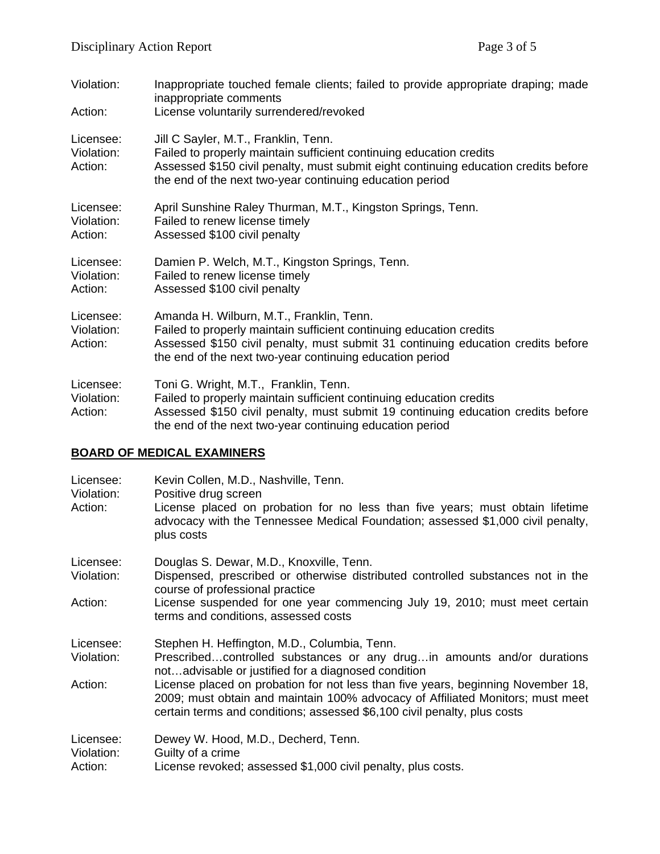| Violation:<br>Action:              | Inappropriate touched female clients; failed to provide appropriate draping; made<br>inappropriate comments<br>License voluntarily surrendered/revoked                                                                                                          |
|------------------------------------|-----------------------------------------------------------------------------------------------------------------------------------------------------------------------------------------------------------------------------------------------------------------|
| Licensee:<br>Violation:<br>Action: | Jill C Sayler, M.T., Franklin, Tenn.<br>Failed to properly maintain sufficient continuing education credits<br>Assessed \$150 civil penalty, must submit eight continuing education credits before<br>the end of the next two-year continuing education period  |
| Licensee:<br>Violation:<br>Action: | April Sunshine Raley Thurman, M.T., Kingston Springs, Tenn.<br>Failed to renew license timely<br>Assessed \$100 civil penalty                                                                                                                                   |
| Licensee:<br>Violation:<br>Action: | Damien P. Welch, M.T., Kingston Springs, Tenn.<br>Failed to renew license timely<br>Assessed \$100 civil penalty                                                                                                                                                |
| Licensee:<br>Violation:<br>Action: | Amanda H. Wilburn, M.T., Franklin, Tenn.<br>Failed to properly maintain sufficient continuing education credits<br>Assessed \$150 civil penalty, must submit 31 continuing education credits before<br>the end of the next two-year continuing education period |
| Licensee:<br>Violation:<br>Action: | Toni G. Wright, M.T., Franklin, Tenn.<br>Failed to properly maintain sufficient continuing education credits<br>Assessed \$150 civil penalty, must submit 19 continuing education credits before<br>the end of the next two-year continuing education period    |

# **BOARD OF MEDICAL EXAMINERS**

| Licensee:<br>Violation:<br>Action: | Kevin Collen, M.D., Nashville, Tenn.<br>Positive drug screen<br>License placed on probation for no less than five years; must obtain lifetime<br>advocacy with the Tennessee Medical Foundation; assessed \$1,000 civil penalty,<br>plus costs |
|------------------------------------|------------------------------------------------------------------------------------------------------------------------------------------------------------------------------------------------------------------------------------------------|
| Licensee:<br>Violation:            | Douglas S. Dewar, M.D., Knoxville, Tenn.<br>Dispensed, prescribed or otherwise distributed controlled substances not in the<br>course of professional practice                                                                                 |
| Action:                            | License suspended for one year commencing July 19, 2010; must meet certain<br>terms and conditions, assessed costs                                                                                                                             |
| Licensee:<br>Violation:            | Stephen H. Heffington, M.D., Columbia, Tenn.<br>Prescribedcontrolled substances or any drugin amounts and/or durations<br>notadvisable or justified for a diagnosed condition                                                                  |
| Action:                            | License placed on probation for not less than five years, beginning November 18,<br>2009; must obtain and maintain 100% advocacy of Affiliated Monitors; must meet<br>certain terms and conditions; assessed \$6,100 civil penalty, plus costs |
| Licensee:<br>Violation:<br>Action: | Dewey W. Hood, M.D., Decherd, Tenn.<br>Guilty of a crime<br>License revoked; assessed \$1,000 civil penalty, plus costs.                                                                                                                       |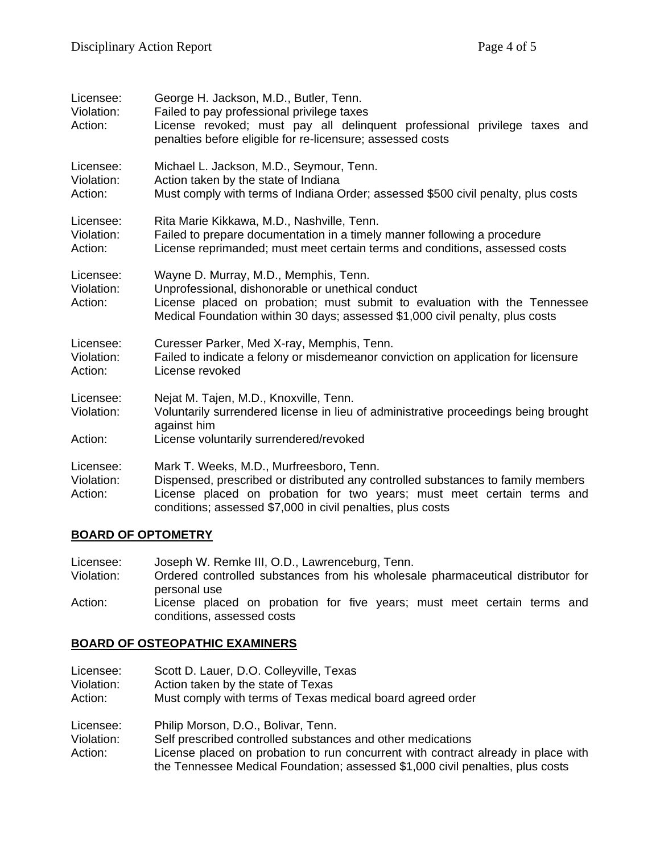| Licensee:<br>Violation:<br>Action: | George H. Jackson, M.D., Butler, Tenn.<br>Failed to pay professional privilege taxes<br>License revoked; must pay all delinquent professional privilege taxes and<br>penalties before eligible for re-licensure; assessed costs                                       |
|------------------------------------|-----------------------------------------------------------------------------------------------------------------------------------------------------------------------------------------------------------------------------------------------------------------------|
| Licensee:<br>Violation:<br>Action: | Michael L. Jackson, M.D., Seymour, Tenn.<br>Action taken by the state of Indiana<br>Must comply with terms of Indiana Order; assessed \$500 civil penalty, plus costs                                                                                                 |
| Licensee:<br>Violation:<br>Action: | Rita Marie Kikkawa, M.D., Nashville, Tenn.<br>Failed to prepare documentation in a timely manner following a procedure<br>License reprimanded; must meet certain terms and conditions, assessed costs                                                                 |
| Licensee:<br>Violation:<br>Action: | Wayne D. Murray, M.D., Memphis, Tenn.<br>Unprofessional, dishonorable or unethical conduct<br>License placed on probation; must submit to evaluation with the Tennessee<br>Medical Foundation within 30 days; assessed \$1,000 civil penalty, plus costs              |
| Licensee:<br>Violation:<br>Action: | Curesser Parker, Med X-ray, Memphis, Tenn.<br>Failed to indicate a felony or misdemeanor conviction on application for licensure<br>License revoked                                                                                                                   |
| Licensee:<br>Violation:            | Nejat M. Tajen, M.D., Knoxville, Tenn.<br>Voluntarily surrendered license in lieu of administrative proceedings being brought<br>against him                                                                                                                          |
| Action:                            | License voluntarily surrendered/revoked                                                                                                                                                                                                                               |
| Licensee:<br>Violation:<br>Action: | Mark T. Weeks, M.D., Murfreesboro, Tenn.<br>Dispensed, prescribed or distributed any controlled substances to family members<br>License placed on probation for two years; must meet certain terms and<br>conditions; assessed \$7,000 in civil penalties, plus costs |

### **BOARD OF OPTOMETRY**

| Licensee:  | Joseph W. Remke III, O.D., Lawrenceburg, Tenn.                                                        |
|------------|-------------------------------------------------------------------------------------------------------|
| Violation: | Ordered controlled substances from his wholesale pharmaceutical distributor for<br>personal use       |
| Action:    | License placed on probation for five years; must meet certain terms and<br>conditions, assessed costs |

#### **BOARD OF OSTEOPATHIC EXAMINERS**

| Licensee:<br>Violation:<br>Action: | Scott D. Lauer, D.O. Colleyville, Texas<br>Action taken by the state of Texas<br>Must comply with terms of Texas medical board agreed order                         |
|------------------------------------|---------------------------------------------------------------------------------------------------------------------------------------------------------------------|
| Licensee:                          | Philip Morson, D.O., Bolivar, Tenn.                                                                                                                                 |
| Violation:                         | Self prescribed controlled substances and other medications                                                                                                         |
| Action:                            | License placed on probation to run concurrent with contract already in place with<br>the Tennessee Medical Foundation; assessed \$1,000 civil penalties, plus costs |